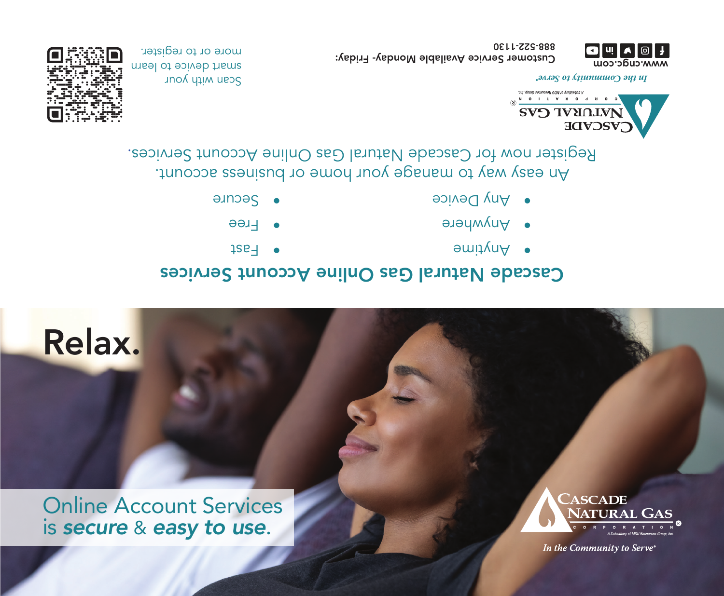Online Account Services is *secure* & *easy to use*.





# Relax.

Cascade Natural Gas Online Account Services

- $12B<sup>-1</sup>$
- Free •
- **Secure**
- Anytime •
- Anywhere
- Any Device

An easy way to manage your home or business account. . Register now for Cascade Natural Gas Online Account Services



an the Community to Serve\*

Customer Service Available Monday- Friday:

Scan with your smart device to learn more or to register.